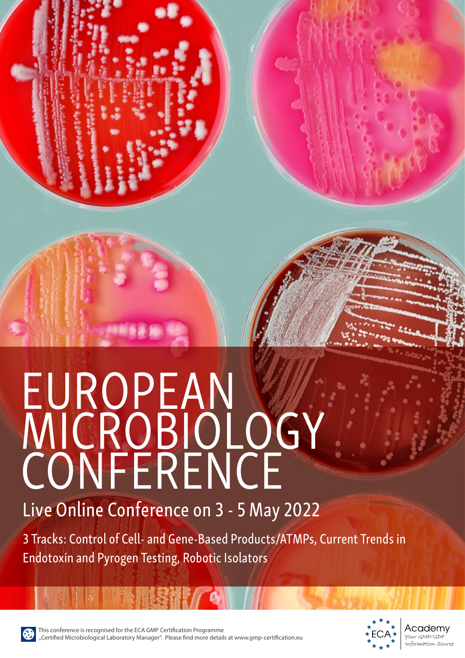# **EUROPEAN** MICROBIOLOGY **CONFERENCE** Live Online Conference on 3 - 5 May 2022

3 Tracks: Control of Cell- and Gene-Based Products/ATMPs, Current Trends in Endotoxin and Pyrogen Testing, Robotic Isolators



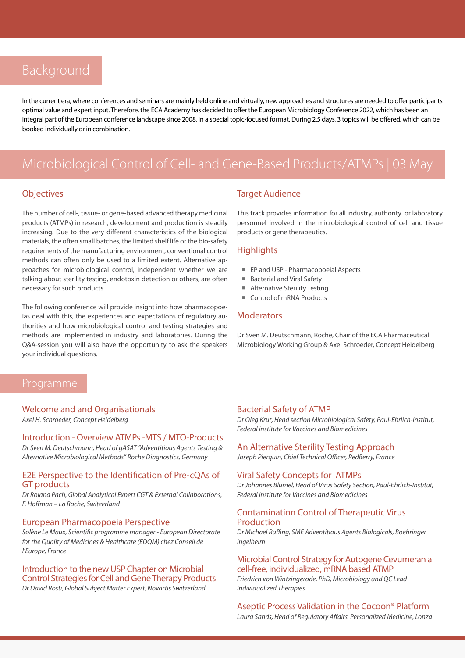# Background

In the current era, where conferences and seminars are mainly held online and virtually, new approaches and structures are needed to offer participants optimal value and expert input. Therefore, the ECA Academy has decided to offer the European Microbiology Conference 2022, which has been an integral part of the European conference landscape since 2008, in a special topic-focused format. During 2.5 days, 3 topics will be offered, which can be booked individually or in combination.

# Microbiological Control of Cell- and Gene-Based Products/ATMPs | 03 May

#### **Objectives**

The number of cell-, tissue- or gene-based advanced therapy medicinal products (ATMPs) in research, development and production is steadily increasing. Due to the very different characteristics of the biological materials, the often small batches, the limited shelf life or the bio-safety requirements of the manufacturing environment, conventional control methods can often only be used to a limited extent. Alternative approaches for microbiological control, independent whether we are talking about sterility testing, endotoxin detection or others, are often necessary for such products.

The following conference will provide insight into how pharmacopoeias deal with this, the experiences and expectations of regulatory authorities and how microbiological control and testing strategies and methods are implemented in industry and laboratories. During the Q&A-session you will also have the opportunity to ask the speakers your individual questions.

#### Target Audience

This track provides information for all industry, authority or laboratory personnel involved in the microbiological control of cell and tissue products or gene therapeutics.

#### **Highlights**

- EP and USP Pharmacopoeial Aspects
- Bacterial and Viral Safety
- **Alternative Sterility Testing**
- Control of mRNA Products

#### **Moderators**

Dr Sven M. Deutschmann, Roche, Chair of the ECA Pharmaceutical Microbiology Working Group & Axel Schroeder, Concept Heidelberg

Welcome and and Organisationals

*Axel H. Schroeder, Concept Heidelberg*

#### Introduction - Overview ATMPs -MTS / MTO-Products *Dr Sven M. Deutschmann, Head of gASAT "Adventitious Agents Testing &*

*Alternative Microbiological Methods" Roche Diagnostics, Germany*

#### E2E Perspective to the Identification of Pre-cQAs of GT products

*Dr Roland Pach, Global Analytical Expert CGT & External Collaborations, F. Hoffman – La Roche, Switzerland*

#### European Pharmacopoeia Perspective

*Solène Le Maux, Scientific programme manager - European Directorate for the Quality of Medicines & Healthcare (EDQM) chez Conseil de l'Europe, France*

Introduction to the new USP Chapter on Microbial Control Strategies for Cell and Gene Therapy Products *Dr David Rösti, Global Subject Matter Expert, Novartis Switzerland*

#### Bacterial Safety of ATMP

*Dr Oleg Krut, Head section Microbiological Safety, Paul-Ehrlich-Institut, Federal institute for Vaccines and Biomedicines*

#### An Alternative Sterility Testing Approach

*Joseph Pierquin, Chief Technical Officer, RedBerry, France*

#### Viral Safety Concepts for ATMPs

*Dr Johannes Blümel, Head of Virus Safety Section, Paul-Ehrlich-Institut, Federal institute for Vaccines and Biomedicines*

#### Contamination Control of Therapeutic Virus Production

*Dr Michael Ruffing, SME Adventitious Agents Biologicals, Boehringer Ingelheim*

#### Microbial Control Strategy for Autogene Cevumeran a cell-free, individualized, mRNA based ATMP

*Friedrich von Wintzingerode, PhD, Microbiology and QC Lead Individualized Therapies*

#### Aseptic Process Validation in the Cocoon® Platform

*Laura Sands, Head of Regulatory Affairs Personalized Medicine, Lonza*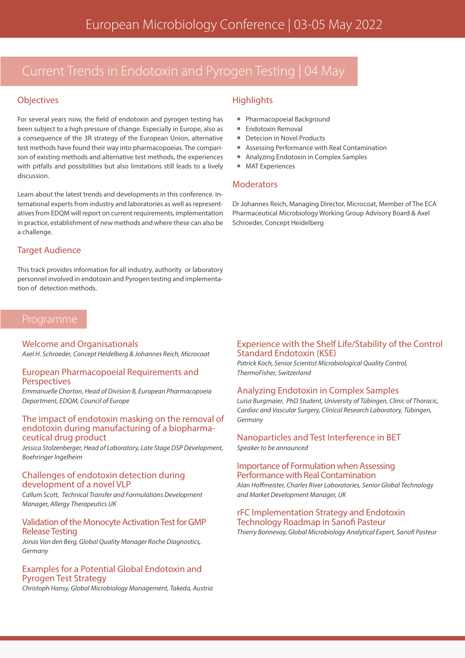# Current Trends in Endotoxin and Pyrogen Testing | 04 May

#### **Objectives**

For several years now, the field of endotoxin and pyrogen testing has been subject to a high pressure of change. Especially in Europe, also as a consequence of the 3R strategy of the European Union, alternative test methods have found their way into pharmacopoeias. The comparison of existing methods and alternative test methods, the experiences with pitfalls and possibilities but also limitations still leads to a lively discussion.

Learn about the latest trends and developments in this conference. International experts from industry and laboratories as well as representatives from EDQM will report on current requirements, implementation in practice, establishment of new methods and where these can also be a challenge.

#### Target Audience

This track provides information for all industry, authority or laboratory personnel involved in endotoxin and Pyrogen testing and implementation of detection methods.

#### Welcome and Organisationals

*Axel H. Schroeder, Concept Heidelberg & Johannes Reich, Microcoat*

#### European Pharmacopoeial Requirements and **Perspectives**

*Emmanuelle Charton, Head of Division B, European Pharmacopoeia Department, EDQM, Council of Europe*

# The impact of endotoxin masking on the removal of endotoxin during manufacturing of a biopharma- ceutical drug product

*Jessica Stolzenberger, Head of Laboratory, Late Stage DSP Development, Boehringer Ingelheim*

#### Challenges of endotoxin detection during development of a novel VLP

*Callum Scott, Technical Transfer and Formulations Development Manager, Allergy Therapeutics UK*

#### Validation of the Monocyte Activation Test for GMP Release Testing

*Jonas Van den Berg, Global Quality Manager Roche Diagnostics, Germany*

#### Examples for a Potential Global Endotoxin and Pyrogen Test Strategy

*Christoph Hansy, Global Microbiology Management, Takeda, Austria*

#### **Highlights**

- Pharmacopoeial Background
- Endotoxin Removal
- Detecion in Novel Products
- Assessing Performance with Real Contamination
- Analyzing Endotoxin in Complex Samples
- MAT Experiences

#### **Moderators**

Dr Johannes Reich, Managing Director, Microcoat, Member of The ECA Pharmaceutical Microbiology Working Group Advisory Board & Axel Schroeder, Concept Heidelberg

#### Experience with the Shelf Life/Stability of the Control Standard Endotoxin (KSE)

*Patrick Koch, Senior Scientist Microbiological Quality Control, ThermoFisher, Switzerland*

#### Analyzing Endotoxin in Complex Samples

*Luisa Burgmaier, PhD Student, University of Tübingen, Clinic of Thoracic, Cardiac and Vascular Surgery, Clinical Research Laboratory, Tübingen, Germany*

## Nanoparticles and Test Interference in BET

*Speaker to be announced*

#### Importance of Formulation when Assessing Performance with Real Contamination

*Alan Hoffmeister, Charles River Laboratories, Senior Global Technology and Market Development Manager, UK*

#### rFC Implementation Strategy and Endotoxin Technology Roadmap in Sanofi Pasteur

*Thierry Bonnevay, Global Microbiology Analytical Expert, Sanofi Pasteur*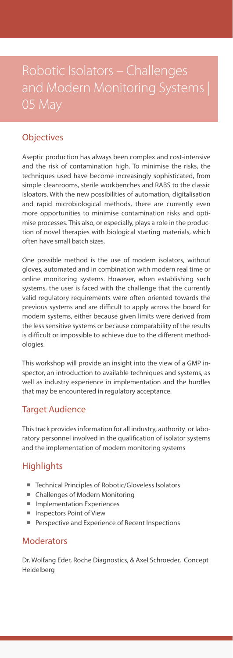# Robotic Isolators – Challenges and Modern Monitoring Systems | 05 May

## **Objectives**

Aseptic production has always been complex and cost-intensive and the risk of contamination high. To minimise the risks, the techniques used have become increasingly sophisticated, from simple cleanrooms, sterile workbenches and RABS to the classic isloators. With the new possibilities of automation, digitalisation and rapid microbiological methods, there are currently even more opportunities to minimise contamination risks and optimise processes. This also, or especially, plays a role in the production of novel therapies with biological starting materials, which often have small batch sizes.

One possible method is the use of modern isolators, without gloves, automated and in combination with modern real time or online monitoring systems. However, when establishing such systems, the user is faced with the challenge that the currently valid regulatory requirements were often oriented towards the previous systems and are difficult to apply across the board for modern systems, either because given limits were derived from the less sensitive systems or because comparability of the results is difficult or impossible to achieve due to the different methodologies.

This workshop will provide an insight into the view of a GMP inspector, an introduction to available techniques and systems, as well as industry experience in implementation and the hurdles that may be encountered in regulatory acceptance.

### Target Audience

This track provides information for all industry, authority or laboratory personnel involved in the qualification of isolator systems and the implementation of modern monitoring systems

### **Highlights**

- Technical Principles of Robotic/Gloveless Isolators
- Challenges of Modern Monitoring
- **Implementation Experiences**
- **Inspectors Point of View**
- Perspective and Experience of Recent Inspections

### Moderators

Dr. Wolfang Eder, Roche Diagnostics, & Axel Schroeder, Concept Heidelberg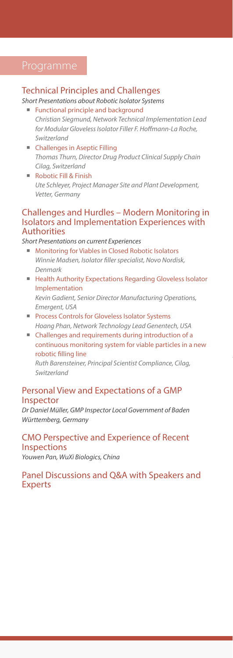#### Technical Principles and Challenges

## *Short Presentations about Robotic Isolator Systems*

- **Functional principle and background** *Christian Siegmund, Network Technical Implementation Lead for Modular Gloveless Isolator Filler F. Hoffmann-La Roche, Switzerland*
- Challenges in Aseptic Filling *Thomas Thurn, Director Drug Product Clinical Supply Chain Cilag, Switzerland*
- Robotic Fill & Finish *Ute Schleyer, Project Manager Site and Plant Development, Vetter, Germany*

#### Challenges and Hurdles – Modern Monitoring in Isolators and Implementation Experiences with Authorities

*Short Presentations on current Experiences*

- Monitoring for Viables in Closed Robotic Isolators *Winnie Madsen, Isolator filler specialist, Novo Nordisk, Denmark*
- Health Authority Expectations Regarding Gloveless Isolator Implementation *Kevin Gadient, Senior Director Manufacturing Operations, Emergent, USA*
- **Process Controls for Gloveless Isolator Systems** *Hoang Phan, Network Technology Lead Genentech, USA*
- Challenges and requirements during introduction of a continuous monitoring system for viable particles in a new robotic filling line

*Ruth Barensteiner, Principal Scientist Compliance, Cilag, Switzerland*

#### Personal View and Expectations of a GMP Inspector

*Dr Daniel Müller, GMP Inspector Local Government of Baden Württemberg, Germany*

#### CMO Perspective and Experience of Recent Inspections

*Youwen Pan, WuXi Biologics, China*

#### Panel Discussions and Q&A with Speakers and **Experts**